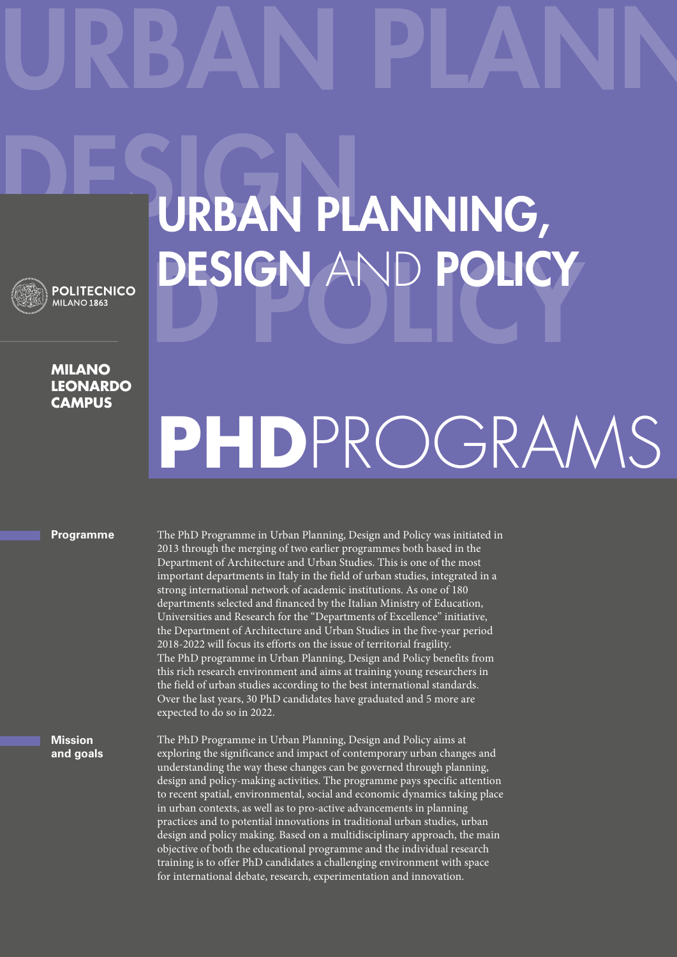## URBAN PLANN DESIGN PLANNING, **ESIGN AND POLICY**

## **Milano leonardo CAMPUS**

## **PhD**ProgramS

## **Programme**

The PhD Programme in Urban Planning, Design and Policy was initiated in 2013 through the merging of two earlier programmes both based in the Department of Architecture and Urban Studies. This is one of the most important departments in Italy in the field of urban studies, integrated in a strong international network of academic institutions. As one of 180 departments selected and financed by the Italian Ministry of Education, Universities and Research for the "Departments of Excellence" initiative, the Department of Architecture and Urban Studies in the five-year period 2018-2022 will focus its efforts on the issue of territorial fragility. The PhD programme in Urban Planning, Design and Policy benefits from this rich research environment and aims at training young researchers in the field of urban studies according to the best international standards. Over the last years, 30 PhD candidates have graduated and 5 more are expected to do so in 2022.

**Mission and goals** The PhD Programme in Urban Planning, Design and Policy aims at exploring the significance and impact of contemporary urban changes and understanding the way these changes can be governed through planning, design and policy-making activities. The programme pays specific attention to recent spatial, environmental, social and economic dynamics taking place in urban contexts, as well as to pro-active advancements in planning practices and to potential innovations in traditional urban studies, urban design and policy making. Based on a multidisciplinary approach, the main objective of both the educational programme and the individual research training is to offer PhD candidates a challenging environment with space for international debate, research, experimentation and innovation.